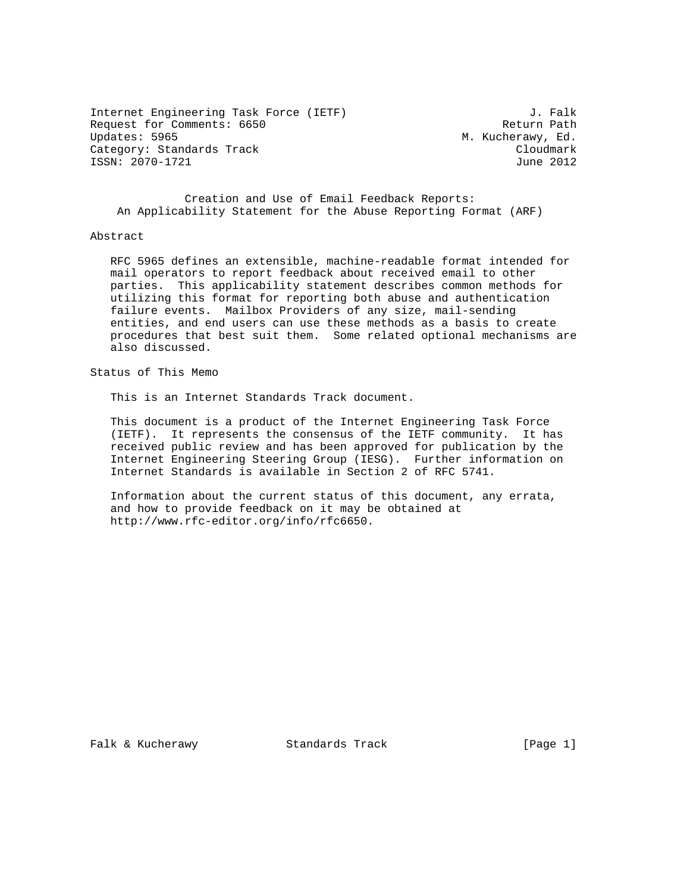Internet Engineering Task Force (IETF) 3. Falk Request for Comments: 6650 Return Path Return Path Return Path<br>Updates: 5965 Return Path Updates: 5965 Category: Standards Track Cloudmark Cloudmark Cloudmark Cloudmark Cloudmark Cloudmark Cloudmark Cloudmark Cloudmark ISSN: 2070-1721

M. Kucherawy, Ed.

 Creation and Use of Email Feedback Reports: An Applicability Statement for the Abuse Reporting Format (ARF)

#### Abstract

 RFC 5965 defines an extensible, machine-readable format intended for mail operators to report feedback about received email to other parties. This applicability statement describes common methods for utilizing this format for reporting both abuse and authentication failure events. Mailbox Providers of any size, mail-sending entities, and end users can use these methods as a basis to create procedures that best suit them. Some related optional mechanisms are also discussed.

Status of This Memo

This is an Internet Standards Track document.

 This document is a product of the Internet Engineering Task Force (IETF). It represents the consensus of the IETF community. It has received public review and has been approved for publication by the Internet Engineering Steering Group (IESG). Further information on Internet Standards is available in Section 2 of RFC 5741.

 Information about the current status of this document, any errata, and how to provide feedback on it may be obtained at http://www.rfc-editor.org/info/rfc6650.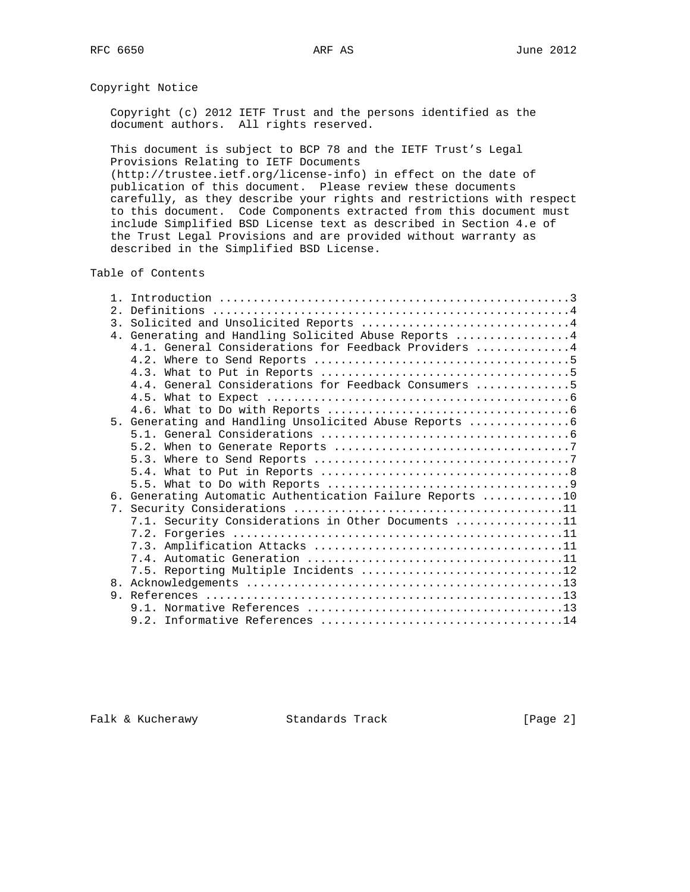# Copyright Notice

 Copyright (c) 2012 IETF Trust and the persons identified as the document authors. All rights reserved.

 This document is subject to BCP 78 and the IETF Trust's Legal Provisions Relating to IETF Documents

 (http://trustee.ietf.org/license-info) in effect on the date of publication of this document. Please review these documents carefully, as they describe your rights and restrictions with respect to this document. Code Components extracted from this document must include Simplified BSD License text as described in Section 4.e of the Trust Legal Provisions and are provided without warranty as described in the Simplified BSD License.

## Table of Contents

| 2.1 |                                                           |
|-----|-----------------------------------------------------------|
|     | 3. Solicited and Unsolicited Reports 4                    |
|     | 4. Generating and Handling Solicited Abuse Reports 4      |
|     | 4.1. General Considerations for Feedback Providers 4      |
|     |                                                           |
|     |                                                           |
|     | 4.4. General Considerations for Feedback Consumers 5      |
|     |                                                           |
|     |                                                           |
|     | 5. Generating and Handling Unsolicited Abuse Reports      |
|     |                                                           |
|     |                                                           |
|     |                                                           |
|     |                                                           |
|     |                                                           |
|     | 6. Generating Automatic Authentication Failure Reports 10 |
|     |                                                           |
|     | 7.1. Security Considerations in Other Documents 11        |
|     |                                                           |
|     |                                                           |
|     |                                                           |
|     |                                                           |
|     |                                                           |
|     |                                                           |
|     |                                                           |
|     |                                                           |
|     |                                                           |

Falk & Kucherawy Standards Track [Page 2]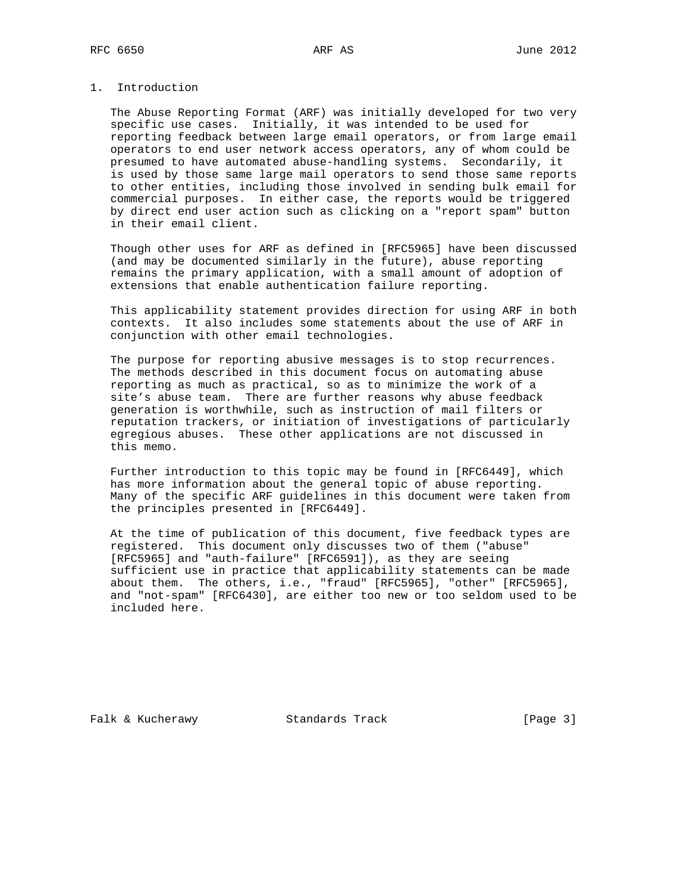# 1. Introduction

 The Abuse Reporting Format (ARF) was initially developed for two very specific use cases. Initially, it was intended to be used for reporting feedback between large email operators, or from large email operators to end user network access operators, any of whom could be presumed to have automated abuse-handling systems. Secondarily, it is used by those same large mail operators to send those same reports to other entities, including those involved in sending bulk email for commercial purposes. In either case, the reports would be triggered by direct end user action such as clicking on a "report spam" button in their email client.

 Though other uses for ARF as defined in [RFC5965] have been discussed (and may be documented similarly in the future), abuse reporting remains the primary application, with a small amount of adoption of extensions that enable authentication failure reporting.

 This applicability statement provides direction for using ARF in both contexts. It also includes some statements about the use of ARF in conjunction with other email technologies.

 The purpose for reporting abusive messages is to stop recurrences. The methods described in this document focus on automating abuse reporting as much as practical, so as to minimize the work of a site's abuse team. There are further reasons why abuse feedback generation is worthwhile, such as instruction of mail filters or reputation trackers, or initiation of investigations of particularly egregious abuses. These other applications are not discussed in this memo.

 Further introduction to this topic may be found in [RFC6449], which has more information about the general topic of abuse reporting. Many of the specific ARF guidelines in this document were taken from the principles presented in [RFC6449].

 At the time of publication of this document, five feedback types are registered. This document only discusses two of them ("abuse" [RFC5965] and "auth-failure" [RFC6591]), as they are seeing sufficient use in practice that applicability statements can be made about them. The others, i.e., "fraud" [RFC5965], "other" [RFC5965], and "not-spam" [RFC6430], are either too new or too seldom used to be included here.

Falk & Kucherawy Standards Track [Page 3]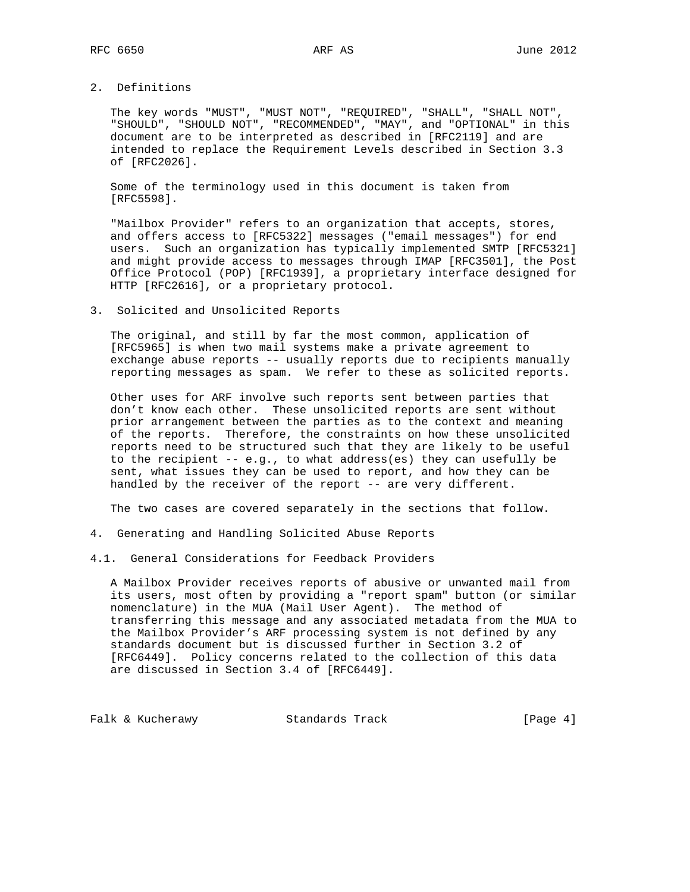# 2. Definitions

 The key words "MUST", "MUST NOT", "REQUIRED", "SHALL", "SHALL NOT", "SHOULD", "SHOULD NOT", "RECOMMENDED", "MAY", and "OPTIONAL" in this document are to be interpreted as described in [RFC2119] and are intended to replace the Requirement Levels described in Section 3.3 of [RFC2026].

 Some of the terminology used in this document is taken from [RFC5598].

 "Mailbox Provider" refers to an organization that accepts, stores, and offers access to [RFC5322] messages ("email messages") for end users. Such an organization has typically implemented SMTP [RFC5321] and might provide access to messages through IMAP [RFC3501], the Post Office Protocol (POP) [RFC1939], a proprietary interface designed for HTTP [RFC2616], or a proprietary protocol.

#### 3. Solicited and Unsolicited Reports

 The original, and still by far the most common, application of [RFC5965] is when two mail systems make a private agreement to exchange abuse reports -- usually reports due to recipients manually reporting messages as spam. We refer to these as solicited reports.

 Other uses for ARF involve such reports sent between parties that don't know each other. These unsolicited reports are sent without prior arrangement between the parties as to the context and meaning of the reports. Therefore, the constraints on how these unsolicited reports need to be structured such that they are likely to be useful to the recipient -- e.g., to what address(es) they can usefully be sent, what issues they can be used to report, and how they can be handled by the receiver of the report -- are very different.

The two cases are covered separately in the sections that follow.

- 4. Generating and Handling Solicited Abuse Reports
- 4.1. General Considerations for Feedback Providers

 A Mailbox Provider receives reports of abusive or unwanted mail from its users, most often by providing a "report spam" button (or similar nomenclature) in the MUA (Mail User Agent). The method of transferring this message and any associated metadata from the MUA to the Mailbox Provider's ARF processing system is not defined by any standards document but is discussed further in Section 3.2 of [RFC6449]. Policy concerns related to the collection of this data are discussed in Section 3.4 of [RFC6449].

Falk & Kucherawy Standards Track [Page 4]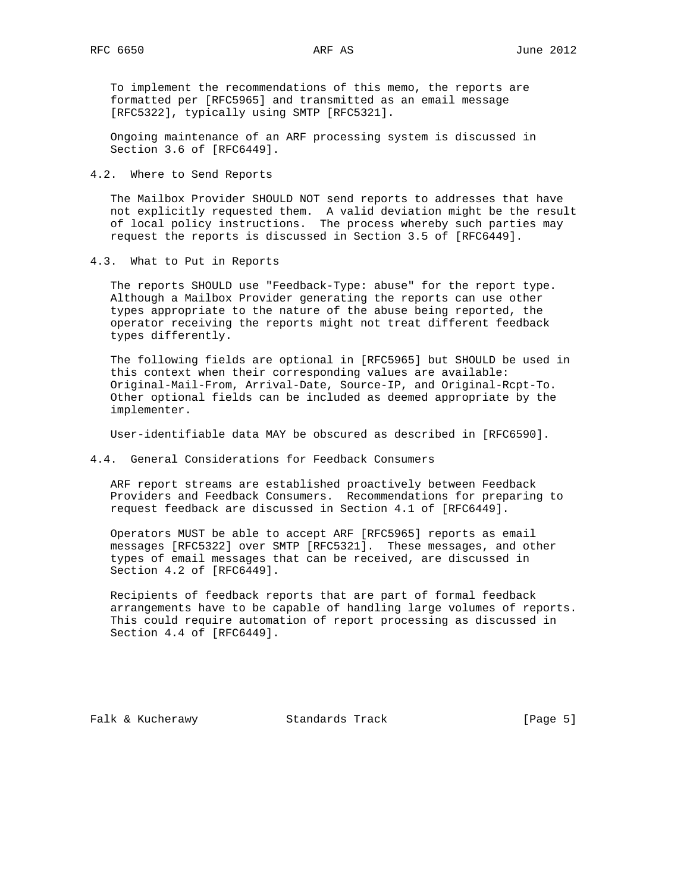To implement the recommendations of this memo, the reports are formatted per [RFC5965] and transmitted as an email message [RFC5322], typically using SMTP [RFC5321].

 Ongoing maintenance of an ARF processing system is discussed in Section 3.6 of [RFC6449].

4.2. Where to Send Reports

 The Mailbox Provider SHOULD NOT send reports to addresses that have not explicitly requested them. A valid deviation might be the result of local policy instructions. The process whereby such parties may request the reports is discussed in Section 3.5 of [RFC6449].

4.3. What to Put in Reports

 The reports SHOULD use "Feedback-Type: abuse" for the report type. Although a Mailbox Provider generating the reports can use other types appropriate to the nature of the abuse being reported, the operator receiving the reports might not treat different feedback types differently.

 The following fields are optional in [RFC5965] but SHOULD be used in this context when their corresponding values are available: Original-Mail-From, Arrival-Date, Source-IP, and Original-Rcpt-To. Other optional fields can be included as deemed appropriate by the implementer.

User-identifiable data MAY be obscured as described in [RFC6590].

4.4. General Considerations for Feedback Consumers

 ARF report streams are established proactively between Feedback Providers and Feedback Consumers. Recommendations for preparing to request feedback are discussed in Section 4.1 of [RFC6449].

 Operators MUST be able to accept ARF [RFC5965] reports as email messages [RFC5322] over SMTP [RFC5321]. These messages, and other types of email messages that can be received, are discussed in Section 4.2 of [RFC6449].

 Recipients of feedback reports that are part of formal feedback arrangements have to be capable of handling large volumes of reports. This could require automation of report processing as discussed in Section 4.4 of [RFC6449].

Falk & Kucherawy Standards Track [Page 5]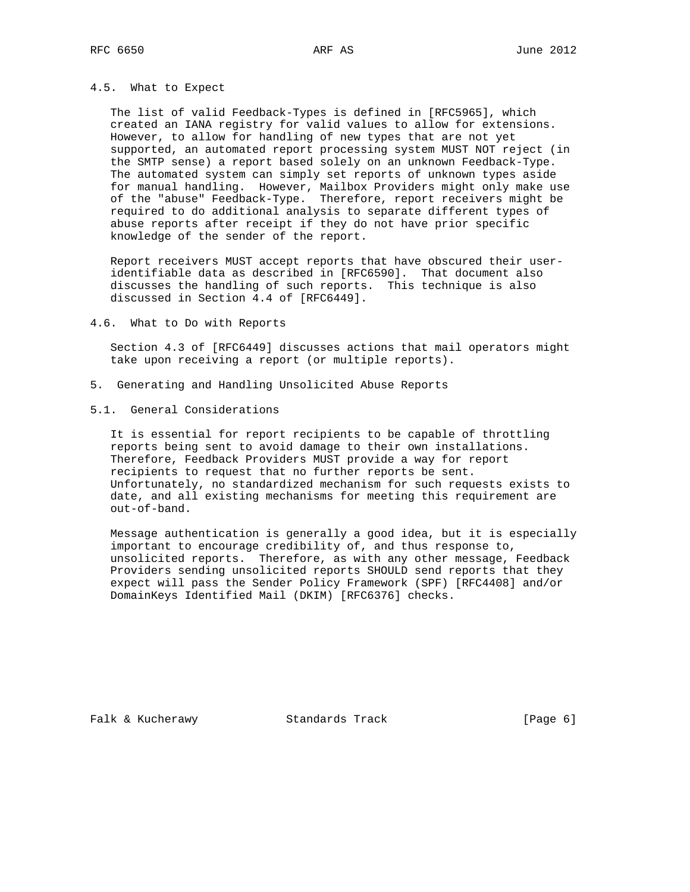## 4.5. What to Expect

 The list of valid Feedback-Types is defined in [RFC5965], which created an IANA registry for valid values to allow for extensions. However, to allow for handling of new types that are not yet supported, an automated report processing system MUST NOT reject (in the SMTP sense) a report based solely on an unknown Feedback-Type. The automated system can simply set reports of unknown types aside for manual handling. However, Mailbox Providers might only make use of the "abuse" Feedback-Type. Therefore, report receivers might be required to do additional analysis to separate different types of abuse reports after receipt if they do not have prior specific knowledge of the sender of the report.

 Report receivers MUST accept reports that have obscured their user identifiable data as described in [RFC6590]. That document also discusses the handling of such reports. This technique is also discussed in Section 4.4 of [RFC6449].

4.6. What to Do with Reports

 Section 4.3 of [RFC6449] discusses actions that mail operators might take upon receiving a report (or multiple reports).

- 5. Generating and Handling Unsolicited Abuse Reports
- 5.1. General Considerations

 It is essential for report recipients to be capable of throttling reports being sent to avoid damage to their own installations. Therefore, Feedback Providers MUST provide a way for report recipients to request that no further reports be sent. Unfortunately, no standardized mechanism for such requests exists to date, and all existing mechanisms for meeting this requirement are out-of-band.

 Message authentication is generally a good idea, but it is especially important to encourage credibility of, and thus response to, unsolicited reports. Therefore, as with any other message, Feedback Providers sending unsolicited reports SHOULD send reports that they expect will pass the Sender Policy Framework (SPF) [RFC4408] and/or DomainKeys Identified Mail (DKIM) [RFC6376] checks.

Falk & Kucherawy Standards Track [Page 6]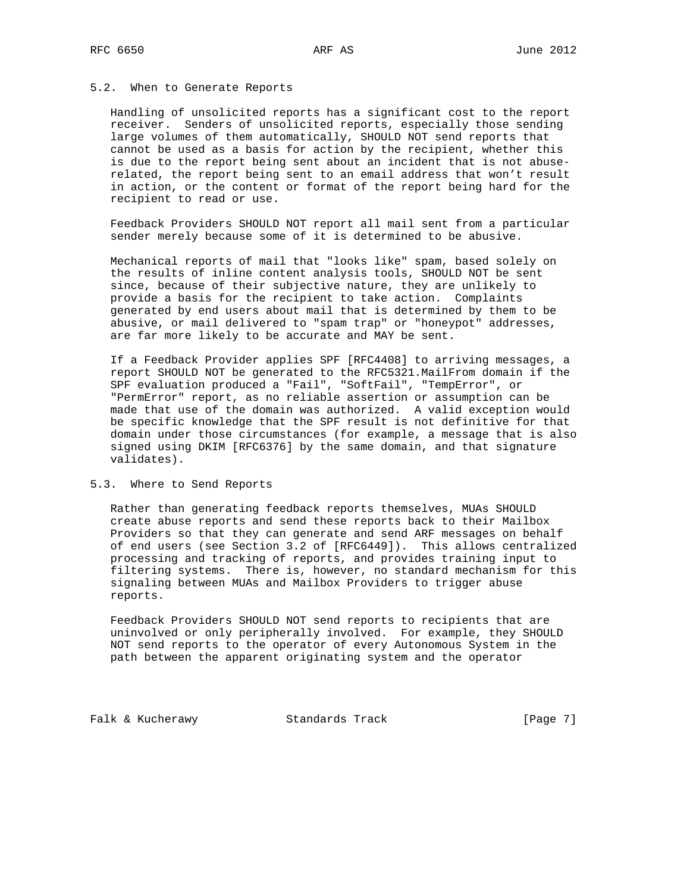## 5.2. When to Generate Reports

 Handling of unsolicited reports has a significant cost to the report receiver. Senders of unsolicited reports, especially those sending large volumes of them automatically, SHOULD NOT send reports that cannot be used as a basis for action by the recipient, whether this is due to the report being sent about an incident that is not abuse related, the report being sent to an email address that won't result in action, or the content or format of the report being hard for the recipient to read or use.

 Feedback Providers SHOULD NOT report all mail sent from a particular sender merely because some of it is determined to be abusive.

 Mechanical reports of mail that "looks like" spam, based solely on the results of inline content analysis tools, SHOULD NOT be sent since, because of their subjective nature, they are unlikely to provide a basis for the recipient to take action. Complaints generated by end users about mail that is determined by them to be abusive, or mail delivered to "spam trap" or "honeypot" addresses, are far more likely to be accurate and MAY be sent.

 If a Feedback Provider applies SPF [RFC4408] to arriving messages, a report SHOULD NOT be generated to the RFC5321.MailFrom domain if the SPF evaluation produced a "Fail", "SoftFail", "TempError", or "PermError" report, as no reliable assertion or assumption can be made that use of the domain was authorized. A valid exception would be specific knowledge that the SPF result is not definitive for that domain under those circumstances (for example, a message that is also signed using DKIM [RFC6376] by the same domain, and that signature validates).

#### 5.3. Where to Send Reports

 Rather than generating feedback reports themselves, MUAs SHOULD create abuse reports and send these reports back to their Mailbox Providers so that they can generate and send ARF messages on behalf of end users (see Section 3.2 of [RFC6449]). This allows centralized processing and tracking of reports, and provides training input to filtering systems. There is, however, no standard mechanism for this signaling between MUAs and Mailbox Providers to trigger abuse reports.

 Feedback Providers SHOULD NOT send reports to recipients that are uninvolved or only peripherally involved. For example, they SHOULD NOT send reports to the operator of every Autonomous System in the path between the apparent originating system and the operator

Falk & Kucherawy Standards Track [Page 7]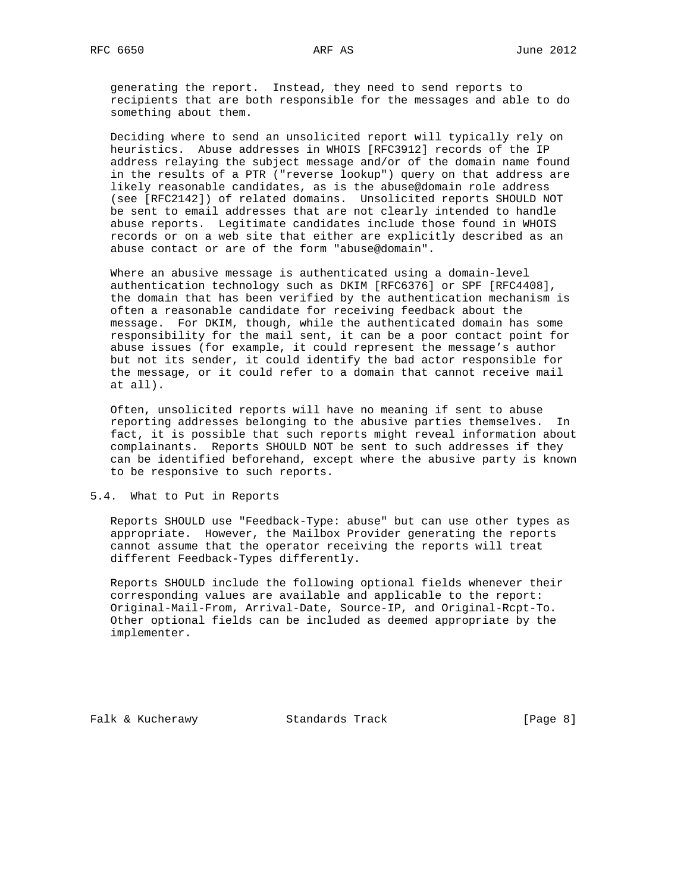generating the report. Instead, they need to send reports to recipients that are both responsible for the messages and able to do something about them.

 Deciding where to send an unsolicited report will typically rely on heuristics. Abuse addresses in WHOIS [RFC3912] records of the IP address relaying the subject message and/or of the domain name found in the results of a PTR ("reverse lookup") query on that address are likely reasonable candidates, as is the abuse@domain role address (see [RFC2142]) of related domains. Unsolicited reports SHOULD NOT be sent to email addresses that are not clearly intended to handle abuse reports. Legitimate candidates include those found in WHOIS records or on a web site that either are explicitly described as an abuse contact or are of the form "abuse@domain".

 Where an abusive message is authenticated using a domain-level authentication technology such as DKIM [RFC6376] or SPF [RFC4408], the domain that has been verified by the authentication mechanism is often a reasonable candidate for receiving feedback about the message. For DKIM, though, while the authenticated domain has some responsibility for the mail sent, it can be a poor contact point for abuse issues (for example, it could represent the message's author but not its sender, it could identify the bad actor responsible for the message, or it could refer to a domain that cannot receive mail at all).

 Often, unsolicited reports will have no meaning if sent to abuse reporting addresses belonging to the abusive parties themselves. In fact, it is possible that such reports might reveal information about complainants. Reports SHOULD NOT be sent to such addresses if they can be identified beforehand, except where the abusive party is known to be responsive to such reports.

5.4. What to Put in Reports

 Reports SHOULD use "Feedback-Type: abuse" but can use other types as appropriate. However, the Mailbox Provider generating the reports cannot assume that the operator receiving the reports will treat different Feedback-Types differently.

 Reports SHOULD include the following optional fields whenever their corresponding values are available and applicable to the report: Original-Mail-From, Arrival-Date, Source-IP, and Original-Rcpt-To. Other optional fields can be included as deemed appropriate by the implementer.

Falk & Kucherawy Standards Track [Page 8]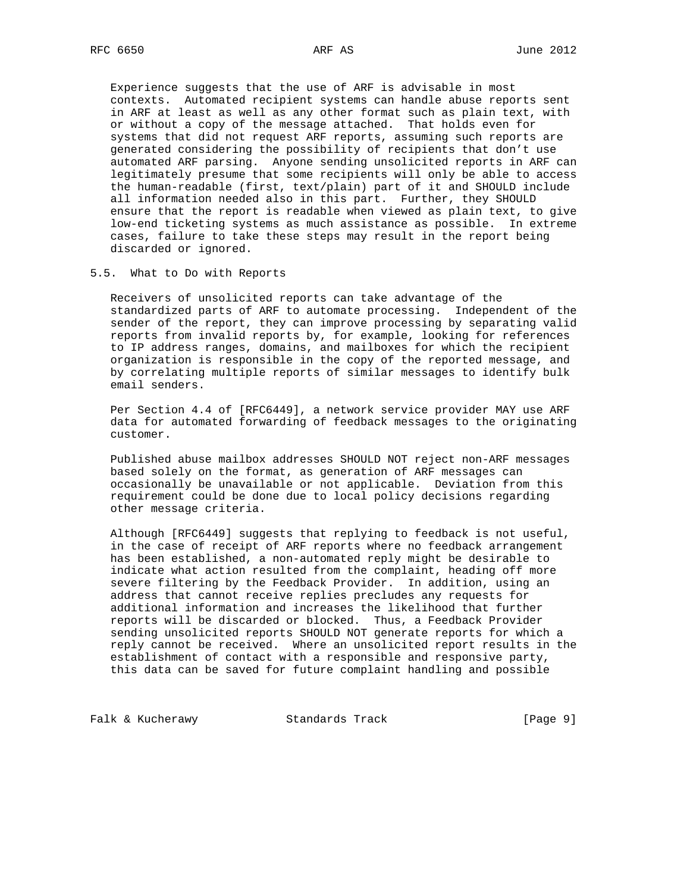Experience suggests that the use of ARF is advisable in most contexts. Automated recipient systems can handle abuse reports sent in ARF at least as well as any other format such as plain text, with or without a copy of the message attached. That holds even for systems that did not request ARF reports, assuming such reports are generated considering the possibility of recipients that don't use automated ARF parsing. Anyone sending unsolicited reports in ARF can legitimately presume that some recipients will only be able to access the human-readable (first, text/plain) part of it and SHOULD include all information needed also in this part. Further, they SHOULD ensure that the report is readable when viewed as plain text, to give low-end ticketing systems as much assistance as possible. In extreme cases, failure to take these steps may result in the report being discarded or ignored.

5.5. What to Do with Reports

 Receivers of unsolicited reports can take advantage of the standardized parts of ARF to automate processing. Independent of the sender of the report, they can improve processing by separating valid reports from invalid reports by, for example, looking for references to IP address ranges, domains, and mailboxes for which the recipient organization is responsible in the copy of the reported message, and by correlating multiple reports of similar messages to identify bulk email senders.

 Per Section 4.4 of [RFC6449], a network service provider MAY use ARF data for automated forwarding of feedback messages to the originating customer.

 Published abuse mailbox addresses SHOULD NOT reject non-ARF messages based solely on the format, as generation of ARF messages can occasionally be unavailable or not applicable. Deviation from this requirement could be done due to local policy decisions regarding other message criteria.

 Although [RFC6449] suggests that replying to feedback is not useful, in the case of receipt of ARF reports where no feedback arrangement has been established, a non-automated reply might be desirable to indicate what action resulted from the complaint, heading off more severe filtering by the Feedback Provider. In addition, using an address that cannot receive replies precludes any requests for additional information and increases the likelihood that further reports will be discarded or blocked. Thus, a Feedback Provider sending unsolicited reports SHOULD NOT generate reports for which a reply cannot be received. Where an unsolicited report results in the establishment of contact with a responsible and responsive party, this data can be saved for future complaint handling and possible

Falk & Kucherawy Standards Track [Page 9]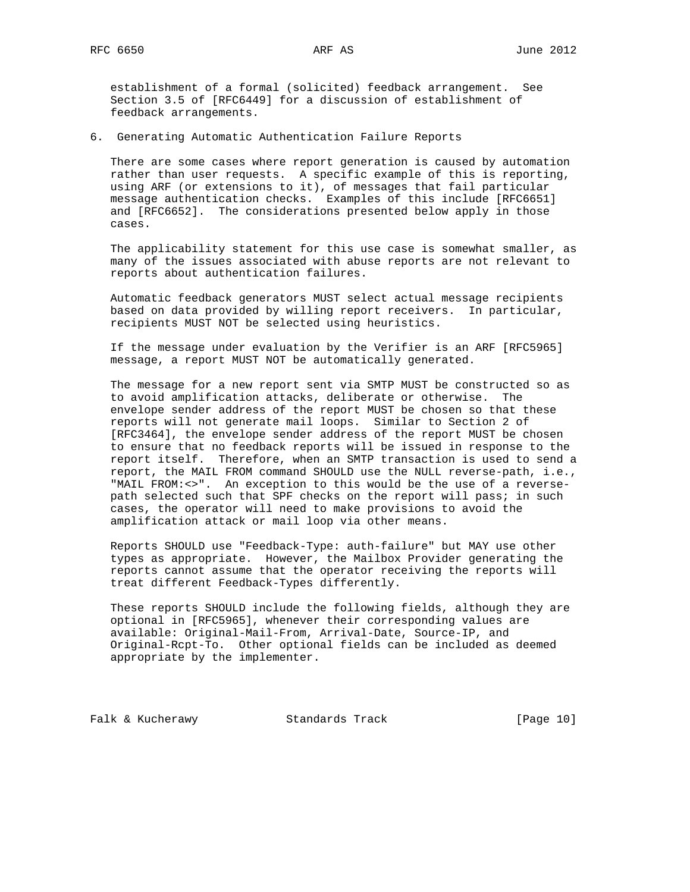establishment of a formal (solicited) feedback arrangement. See Section 3.5 of [RFC6449] for a discussion of establishment of feedback arrangements.

6. Generating Automatic Authentication Failure Reports

 There are some cases where report generation is caused by automation rather than user requests. A specific example of this is reporting, using ARF (or extensions to it), of messages that fail particular message authentication checks. Examples of this include [RFC6651] and [RFC6652]. The considerations presented below apply in those cases.

 The applicability statement for this use case is somewhat smaller, as many of the issues associated with abuse reports are not relevant to reports about authentication failures.

 Automatic feedback generators MUST select actual message recipients based on data provided by willing report receivers. In particular, recipients MUST NOT be selected using heuristics.

 If the message under evaluation by the Verifier is an ARF [RFC5965] message, a report MUST NOT be automatically generated.

 The message for a new report sent via SMTP MUST be constructed so as to avoid amplification attacks, deliberate or otherwise. The envelope sender address of the report MUST be chosen so that these reports will not generate mail loops. Similar to Section 2 of [RFC3464], the envelope sender address of the report MUST be chosen to ensure that no feedback reports will be issued in response to the report itself. Therefore, when an SMTP transaction is used to send a report, the MAIL FROM command SHOULD use the NULL reverse-path, i.e., "MAIL FROM:<>". An exception to this would be the use of a reverse path selected such that SPF checks on the report will pass; in such cases, the operator will need to make provisions to avoid the amplification attack or mail loop via other means.

 Reports SHOULD use "Feedback-Type: auth-failure" but MAY use other types as appropriate. However, the Mailbox Provider generating the reports cannot assume that the operator receiving the reports will treat different Feedback-Types differently.

 These reports SHOULD include the following fields, although they are optional in [RFC5965], whenever their corresponding values are available: Original-Mail-From, Arrival-Date, Source-IP, and Original-Rcpt-To. Other optional fields can be included as deemed appropriate by the implementer.

Falk & Kucherawy Standards Track [Page 10]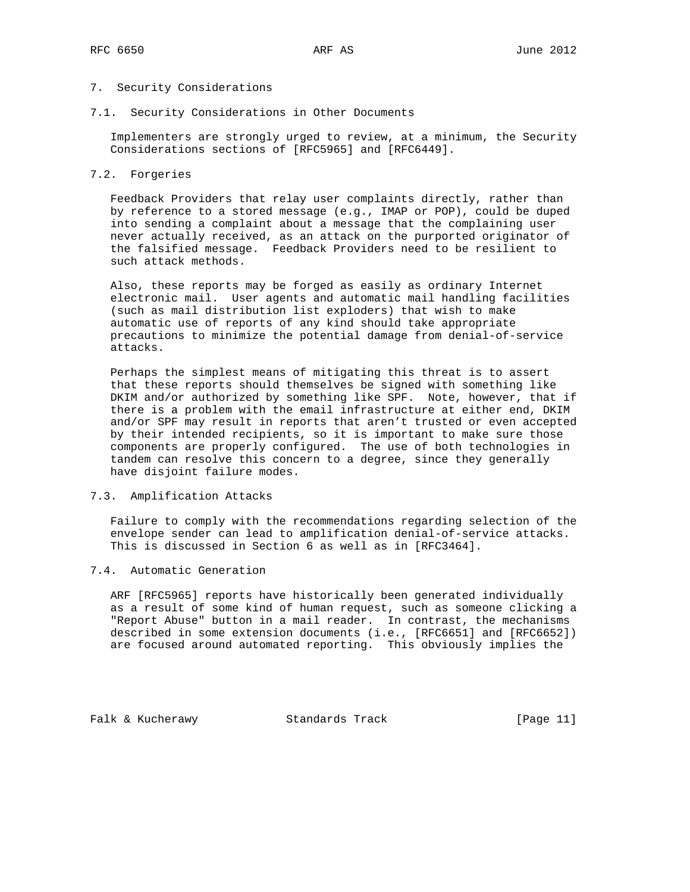## 7. Security Considerations

7.1. Security Considerations in Other Documents

 Implementers are strongly urged to review, at a minimum, the Security Considerations sections of [RFC5965] and [RFC6449].

## 7.2. Forgeries

 Feedback Providers that relay user complaints directly, rather than by reference to a stored message (e.g., IMAP or POP), could be duped into sending a complaint about a message that the complaining user never actually received, as an attack on the purported originator of the falsified message. Feedback Providers need to be resilient to such attack methods.

 Also, these reports may be forged as easily as ordinary Internet electronic mail. User agents and automatic mail handling facilities (such as mail distribution list exploders) that wish to make automatic use of reports of any kind should take appropriate precautions to minimize the potential damage from denial-of-service attacks.

 Perhaps the simplest means of mitigating this threat is to assert that these reports should themselves be signed with something like DKIM and/or authorized by something like SPF. Note, however, that if there is a problem with the email infrastructure at either end, DKIM and/or SPF may result in reports that aren't trusted or even accepted by their intended recipients, so it is important to make sure those components are properly configured. The use of both technologies in tandem can resolve this concern to a degree, since they generally have disjoint failure modes.

#### 7.3. Amplification Attacks

 Failure to comply with the recommendations regarding selection of the envelope sender can lead to amplification denial-of-service attacks. This is discussed in Section 6 as well as in [RFC3464].

### 7.4. Automatic Generation

 ARF [RFC5965] reports have historically been generated individually as a result of some kind of human request, such as someone clicking a "Report Abuse" button in a mail reader. In contrast, the mechanisms described in some extension documents (i.e., [RFC6651] and [RFC6652]) are focused around automated reporting. This obviously implies the

Falk & Kucherawy Standards Track [Page 11]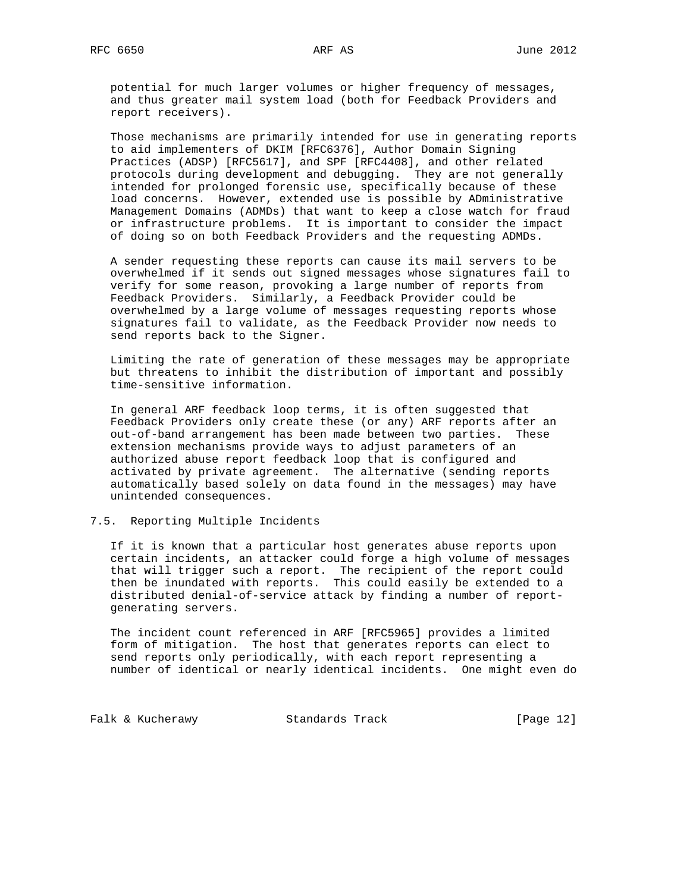potential for much larger volumes or higher frequency of messages, and thus greater mail system load (both for Feedback Providers and report receivers).

 Those mechanisms are primarily intended for use in generating reports to aid implementers of DKIM [RFC6376], Author Domain Signing Practices (ADSP) [RFC5617], and SPF [RFC4408], and other related protocols during development and debugging. They are not generally intended for prolonged forensic use, specifically because of these load concerns. However, extended use is possible by ADministrative Management Domains (ADMDs) that want to keep a close watch for fraud or infrastructure problems. It is important to consider the impact of doing so on both Feedback Providers and the requesting ADMDs.

 A sender requesting these reports can cause its mail servers to be overwhelmed if it sends out signed messages whose signatures fail to verify for some reason, provoking a large number of reports from Feedback Providers. Similarly, a Feedback Provider could be overwhelmed by a large volume of messages requesting reports whose signatures fail to validate, as the Feedback Provider now needs to send reports back to the Signer.

 Limiting the rate of generation of these messages may be appropriate but threatens to inhibit the distribution of important and possibly time-sensitive information.

 In general ARF feedback loop terms, it is often suggested that Feedback Providers only create these (or any) ARF reports after an out-of-band arrangement has been made between two parties. These extension mechanisms provide ways to adjust parameters of an authorized abuse report feedback loop that is configured and activated by private agreement. The alternative (sending reports automatically based solely on data found in the messages) may have unintended consequences.

#### 7.5. Reporting Multiple Incidents

 If it is known that a particular host generates abuse reports upon certain incidents, an attacker could forge a high volume of messages that will trigger such a report. The recipient of the report could then be inundated with reports. This could easily be extended to a distributed denial-of-service attack by finding a number of report generating servers.

 The incident count referenced in ARF [RFC5965] provides a limited form of mitigation. The host that generates reports can elect to send reports only periodically, with each report representing a number of identical or nearly identical incidents. One might even do

Falk & Kucherawy Standards Track [Page 12]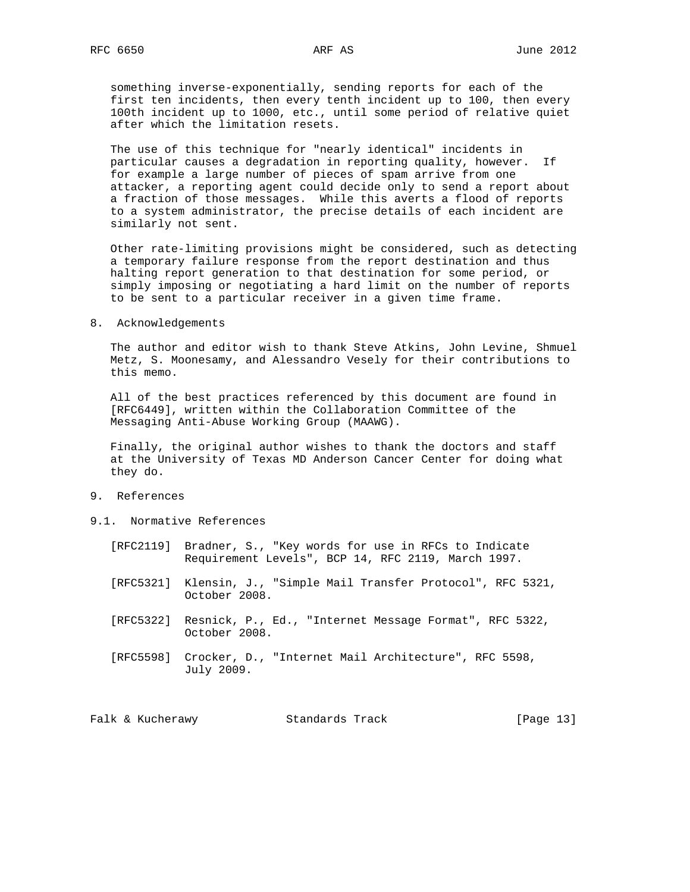something inverse-exponentially, sending reports for each of the first ten incidents, then every tenth incident up to 100, then every 100th incident up to 1000, etc., until some period of relative quiet after which the limitation resets.

 The use of this technique for "nearly identical" incidents in particular causes a degradation in reporting quality, however. If for example a large number of pieces of spam arrive from one attacker, a reporting agent could decide only to send a report about a fraction of those messages. While this averts a flood of reports to a system administrator, the precise details of each incident are similarly not sent.

 Other rate-limiting provisions might be considered, such as detecting a temporary failure response from the report destination and thus halting report generation to that destination for some period, or simply imposing or negotiating a hard limit on the number of reports to be sent to a particular receiver in a given time frame.

8. Acknowledgements

 The author and editor wish to thank Steve Atkins, John Levine, Shmuel Metz, S. Moonesamy, and Alessandro Vesely for their contributions to this memo.

 All of the best practices referenced by this document are found in [RFC6449], written within the Collaboration Committee of the Messaging Anti-Abuse Working Group (MAAWG).

 Finally, the original author wishes to thank the doctors and staff at the University of Texas MD Anderson Cancer Center for doing what they do.

- 9. References
- 9.1. Normative References
	- [RFC2119] Bradner, S., "Key words for use in RFCs to Indicate Requirement Levels", BCP 14, RFC 2119, March 1997.
	- [RFC5321] Klensin, J., "Simple Mail Transfer Protocol", RFC 5321, October 2008.
	- [RFC5322] Resnick, P., Ed., "Internet Message Format", RFC 5322, October 2008.
	- [RFC5598] Crocker, D., "Internet Mail Architecture", RFC 5598, July 2009.

| Falk & Kucherawy<br>Standards Track | [Page 13] |
|-------------------------------------|-----------|
|-------------------------------------|-----------|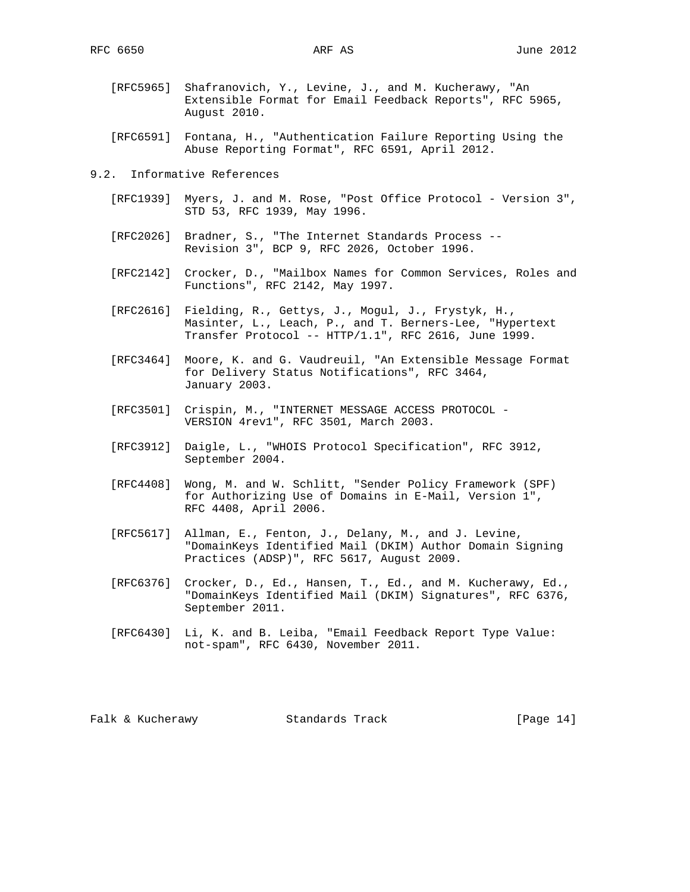- [RFC5965] Shafranovich, Y., Levine, J., and M. Kucherawy, "An Extensible Format for Email Feedback Reports", RFC 5965, August 2010.
- [RFC6591] Fontana, H., "Authentication Failure Reporting Using the Abuse Reporting Format", RFC 6591, April 2012.
- 9.2. Informative References
	- [RFC1939] Myers, J. and M. Rose, "Post Office Protocol Version 3", STD 53, RFC 1939, May 1996.
	- [RFC2026] Bradner, S., "The Internet Standards Process -- Revision 3", BCP 9, RFC 2026, October 1996.
	- [RFC2142] Crocker, D., "Mailbox Names for Common Services, Roles and Functions", RFC 2142, May 1997.
	- [RFC2616] Fielding, R., Gettys, J., Mogul, J., Frystyk, H., Masinter, L., Leach, P., and T. Berners-Lee, "Hypertext Transfer Protocol -- HTTP/1.1", RFC 2616, June 1999.
	- [RFC3464] Moore, K. and G. Vaudreuil, "An Extensible Message Format for Delivery Status Notifications", RFC 3464, January 2003.
	- [RFC3501] Crispin, M., "INTERNET MESSAGE ACCESS PROTOCOL VERSION 4rev1", RFC 3501, March 2003.
	- [RFC3912] Daigle, L., "WHOIS Protocol Specification", RFC 3912, September 2004.
	- [RFC4408] Wong, M. and W. Schlitt, "Sender Policy Framework (SPF) for Authorizing Use of Domains in E-Mail, Version 1", RFC 4408, April 2006.
	- [RFC5617] Allman, E., Fenton, J., Delany, M., and J. Levine, "DomainKeys Identified Mail (DKIM) Author Domain Signing Practices (ADSP)", RFC 5617, August 2009.
	- [RFC6376] Crocker, D., Ed., Hansen, T., Ed., and M. Kucherawy, Ed., "DomainKeys Identified Mail (DKIM) Signatures", RFC 6376, September 2011.
	- [RFC6430] Li, K. and B. Leiba, "Email Feedback Report Type Value: not-spam", RFC 6430, November 2011.

Falk & Kucherawy Standards Track [Page 14]